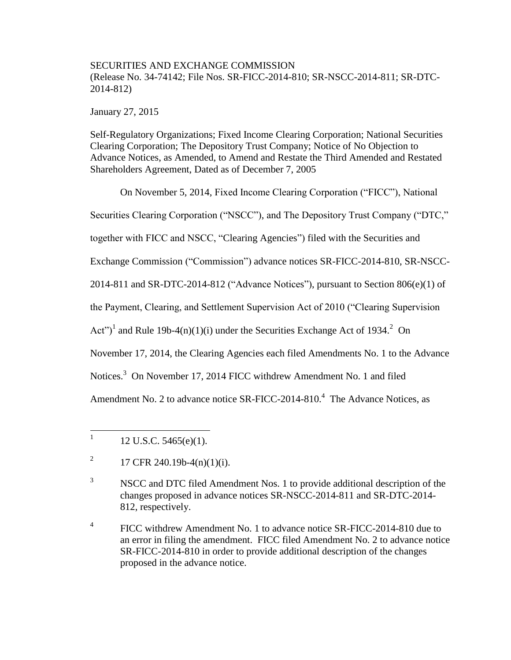# SECURITIES AND EXCHANGE COMMISSION (Release No. 34-74142; File Nos. SR-FICC-2014-810; SR-NSCC-2014-811; SR-DTC-2014-812)

January 27, 2015

Self-Regulatory Organizations; Fixed Income Clearing Corporation; National Securities Clearing Corporation; The Depository Trust Company; Notice of No Objection to Advance Notices, as Amended, to Amend and Restate the Third Amended and Restated Shareholders Agreement, Dated as of December 7, 2005

On November 5, 2014, Fixed Income Clearing Corporation ("FICC"), National Securities Clearing Corporation ("NSCC"), and The Depository Trust Company ("DTC," together with FICC and NSCC, "Clearing Agencies") filed with the Securities and Exchange Commission ("Commission") advance notices SR-FICC-2014-810, SR-NSCC-2014-811 and SR-DTC-2014-812 ("Advance Notices"), pursuant to Section 806(e)(1) of the Payment, Clearing, and Settlement Supervision Act of 2010 ("Clearing Supervision Act")<sup>1</sup> and Rule 19b-4(n)(1)(i) under the Securities Exchange Act of 1934.<sup>2</sup> On November 17, 2014, the Clearing Agencies each filed Amendments No. 1 to the Advance Notices.<sup>3</sup> On November 17, 2014 FICC withdrew Amendment No. 1 and filed Amendment No. 2 to advance notice SR-FICC-2014-810.<sup>4</sup> The Advance Notices, as

 $\frac{1}{1}$ 12 U.S.C. 5465(e)(1).

<sup>2</sup> 17 CFR 240.19b-4(n)(1)(i).

<sup>&</sup>lt;sup>3</sup> NSCC and DTC filed Amendment Nos. 1 to provide additional description of the changes proposed in advance notices SR-NSCC-2014-811 and SR-DTC-2014- 812, respectively.

<sup>4</sup> FICC withdrew Amendment No. 1 to advance notice SR-FICC-2014-810 due to an error in filing the amendment. FICC filed Amendment No. 2 to advance notice SR-FICC-2014-810 in order to provide additional description of the changes proposed in the advance notice.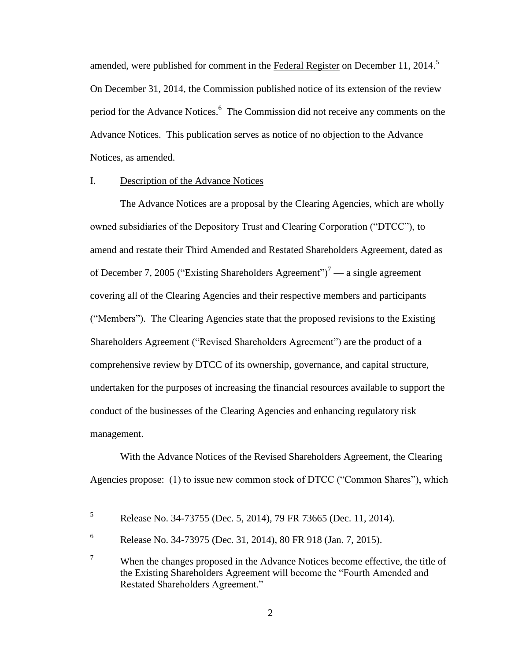amended, were published for comment in the Federal Register on December 11, 2014.<sup>5</sup> On December 31, 2014, the Commission published notice of its extension of the review period for the Advance Notices.<sup>6</sup> The Commission did not receive any comments on the Advance Notices. This publication serves as notice of no objection to the Advance Notices, as amended.

## I. Description of the Advance Notices

The Advance Notices are a proposal by the Clearing Agencies, which are wholly owned subsidiaries of the Depository Trust and Clearing Corporation ("DTCC"), to amend and restate their Third Amended and Restated Shareholders Agreement, dated as of December 7, 2005 ("Existing Shareholders Agreement")<sup>7</sup> — a single agreement covering all of the Clearing Agencies and their respective members and participants ("Members"). The Clearing Agencies state that the proposed revisions to the Existing Shareholders Agreement ("Revised Shareholders Agreement") are the product of a comprehensive review by DTCC of its ownership, governance, and capital structure, undertaken for the purposes of increasing the financial resources available to support the conduct of the businesses of the Clearing Agencies and enhancing regulatory risk management.

With the Advance Notices of the Revised Shareholders Agreement, the Clearing Agencies propose: (1) to issue new common stock of DTCC ("Common Shares"), which

<sup>5</sup> <sup>5</sup> Release No. 34-73755 (Dec. 5, 2014), 79 FR 73665 (Dec. 11, 2014).

<sup>6</sup> Release No. 34-73975 (Dec. 31, 2014), 80 FR 918 (Jan. 7, 2015).

 $7$  When the changes proposed in the Advance Notices become effective, the title of the Existing Shareholders Agreement will become the "Fourth Amended and Restated Shareholders Agreement."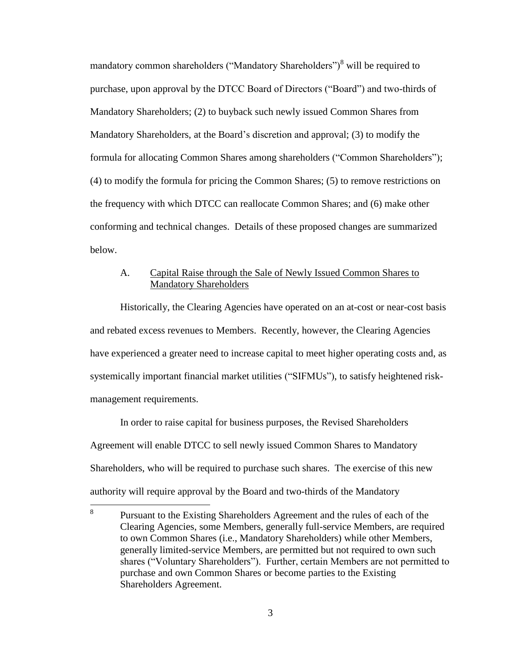mandatory common shareholders ("Mandatory Shareholders")<sup>8</sup> will be required to purchase, upon approval by the DTCC Board of Directors ("Board") and two-thirds of Mandatory Shareholders; (2) to buyback such newly issued Common Shares from Mandatory Shareholders, at the Board's discretion and approval; (3) to modify the formula for allocating Common Shares among shareholders ("Common Shareholders"); (4) to modify the formula for pricing the Common Shares; (5) to remove restrictions on the frequency with which DTCC can reallocate Common Shares; and (6) make other conforming and technical changes. Details of these proposed changes are summarized below.

## A. Capital Raise through the Sale of Newly Issued Common Shares to Mandatory Shareholders

Historically, the Clearing Agencies have operated on an at-cost or near-cost basis and rebated excess revenues to Members. Recently, however, the Clearing Agencies have experienced a greater need to increase capital to meet higher operating costs and, as systemically important financial market utilities ("SIFMUs"), to satisfy heightened riskmanagement requirements.

In order to raise capital for business purposes, the Revised Shareholders Agreement will enable DTCC to sell newly issued Common Shares to Mandatory Shareholders, who will be required to purchase such shares. The exercise of this new authority will require approval by the Board and two-thirds of the Mandatory

 8 Pursuant to the Existing Shareholders Agreement and the rules of each of the Clearing Agencies, some Members, generally full-service Members, are required to own Common Shares (i.e., Mandatory Shareholders) while other Members, generally limited-service Members, are permitted but not required to own such shares ("Voluntary Shareholders"). Further, certain Members are not permitted to purchase and own Common Shares or become parties to the Existing Shareholders Agreement.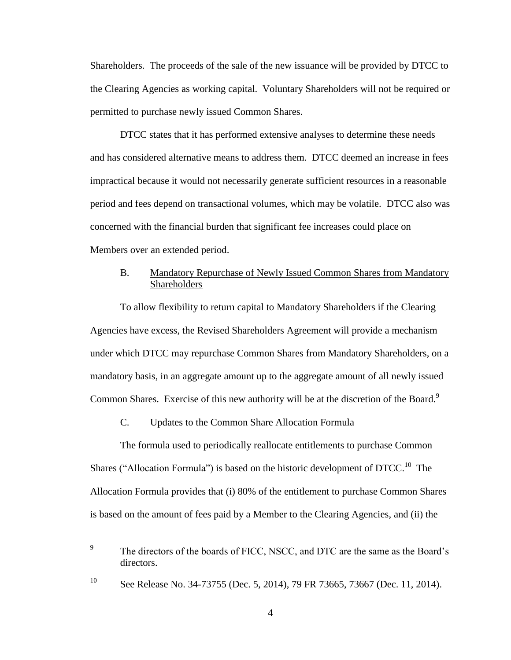Shareholders. The proceeds of the sale of the new issuance will be provided by DTCC to the Clearing Agencies as working capital. Voluntary Shareholders will not be required or permitted to purchase newly issued Common Shares.

DTCC states that it has performed extensive analyses to determine these needs and has considered alternative means to address them. DTCC deemed an increase in fees impractical because it would not necessarily generate sufficient resources in a reasonable period and fees depend on transactional volumes, which may be volatile. DTCC also was concerned with the financial burden that significant fee increases could place on Members over an extended period.

## B. Mandatory Repurchase of Newly Issued Common Shares from Mandatory **Shareholders**

To allow flexibility to return capital to Mandatory Shareholders if the Clearing Agencies have excess, the Revised Shareholders Agreement will provide a mechanism under which DTCC may repurchase Common Shares from Mandatory Shareholders, on a mandatory basis, in an aggregate amount up to the aggregate amount of all newly issued Common Shares. Exercise of this new authority will be at the discretion of the Board.<sup>9</sup>

### C. Updates to the Common Share Allocation Formula

The formula used to periodically reallocate entitlements to purchase Common Shares ("Allocation Formula") is based on the historic development of  $\text{DTCC}^{10}$ . The Allocation Formula provides that (i) 80% of the entitlement to purchase Common Shares is based on the amount of fees paid by a Member to the Clearing Agencies, and (ii) the

 9 The directors of the boards of FICC, NSCC, and DTC are the same as the Board's directors.

<sup>&</sup>lt;sup>10</sup> See Release No. 34-73755 (Dec. 5, 2014), 79 FR 73665, 73667 (Dec. 11, 2014).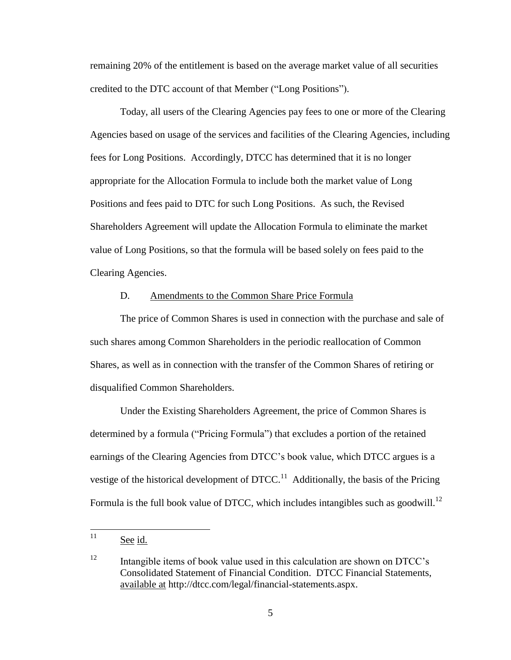remaining 20% of the entitlement is based on the average market value of all securities credited to the DTC account of that Member ("Long Positions").

Today, all users of the Clearing Agencies pay fees to one or more of the Clearing Agencies based on usage of the services and facilities of the Clearing Agencies, including fees for Long Positions. Accordingly, DTCC has determined that it is no longer appropriate for the Allocation Formula to include both the market value of Long Positions and fees paid to DTC for such Long Positions. As such, the Revised Shareholders Agreement will update the Allocation Formula to eliminate the market value of Long Positions, so that the formula will be based solely on fees paid to the Clearing Agencies.

#### D. Amendments to the Common Share Price Formula

The price of Common Shares is used in connection with the purchase and sale of such shares among Common Shareholders in the periodic reallocation of Common Shares, as well as in connection with the transfer of the Common Shares of retiring or disqualified Common Shareholders.

Under the Existing Shareholders Agreement, the price of Common Shares is determined by a formula ("Pricing Formula") that excludes a portion of the retained earnings of the Clearing Agencies from DTCC's book value, which DTCC argues is a vestige of the historical development of  $\text{DTCC}^{11}$  Additionally, the basis of the Pricing Formula is the full book value of DTCC, which includes intangibles such as goodwill.<sup>12</sup>

 $11$ See id.

<sup>12</sup> Intangible items of book value used in this calculation are shown on DTCC's Consolidated Statement of Financial Condition. DTCC Financial Statements, available at http://dtcc.com/legal/financial-statements.aspx.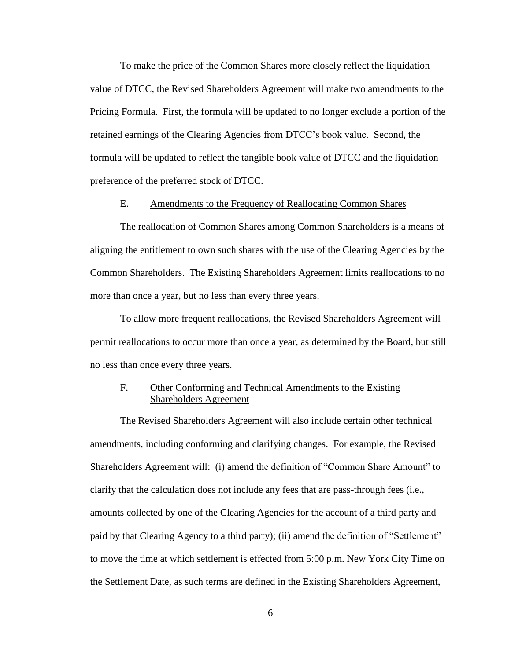To make the price of the Common Shares more closely reflect the liquidation value of DTCC, the Revised Shareholders Agreement will make two amendments to the Pricing Formula. First, the formula will be updated to no longer exclude a portion of the retained earnings of the Clearing Agencies from DTCC's book value. Second, the formula will be updated to reflect the tangible book value of DTCC and the liquidation preference of the preferred stock of DTCC.

#### E. Amendments to the Frequency of Reallocating Common Shares

The reallocation of Common Shares among Common Shareholders is a means of aligning the entitlement to own such shares with the use of the Clearing Agencies by the Common Shareholders. The Existing Shareholders Agreement limits reallocations to no more than once a year, but no less than every three years.

To allow more frequent reallocations, the Revised Shareholders Agreement will permit reallocations to occur more than once a year, as determined by the Board, but still no less than once every three years.

### F. Other Conforming and Technical Amendments to the Existing Shareholders Agreement

The Revised Shareholders Agreement will also include certain other technical amendments, including conforming and clarifying changes. For example, the Revised Shareholders Agreement will: (i) amend the definition of "Common Share Amount" to clarify that the calculation does not include any fees that are pass-through fees (i.e., amounts collected by one of the Clearing Agencies for the account of a third party and paid by that Clearing Agency to a third party); (ii) amend the definition of "Settlement" to move the time at which settlement is effected from 5:00 p.m. New York City Time on the Settlement Date, as such terms are defined in the Existing Shareholders Agreement,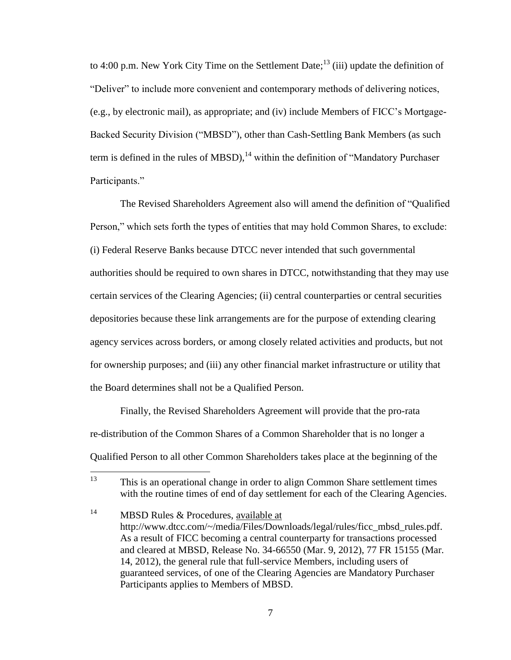to 4:00 p.m. New York City Time on the Settlement Date;<sup>13</sup> (iii) update the definition of "Deliver" to include more convenient and contemporary methods of delivering notices, (e.g., by electronic mail), as appropriate; and (iv) include Members of FICC's Mortgage-Backed Security Division ("MBSD"), other than Cash-Settling Bank Members (as such term is defined in the rules of MBSD),<sup>14</sup> within the definition of "Mandatory Purchaser" Participants."

The Revised Shareholders Agreement also will amend the definition of "Qualified Person," which sets forth the types of entities that may hold Common Shares, to exclude: (i) Federal Reserve Banks because DTCC never intended that such governmental authorities should be required to own shares in DTCC, notwithstanding that they may use certain services of the Clearing Agencies; (ii) central counterparties or central securities depositories because these link arrangements are for the purpose of extending clearing agency services across borders, or among closely related activities and products, but not for ownership purposes; and (iii) any other financial market infrastructure or utility that the Board determines shall not be a Qualified Person.

Finally, the Revised Shareholders Agreement will provide that the pro-rata re-distribution of the Common Shares of a Common Shareholder that is no longer a Qualified Person to all other Common Shareholders takes place at the beginning of the

<sup>13</sup> <sup>13</sup> This is an operational change in order to align Common Share settlement times with the routine times of end of day settlement for each of the Clearing Agencies.

<sup>&</sup>lt;sup>14</sup> MBSD Rules & Procedures, available at http://www.dtcc.com/~/media/Files/Downloads/legal/rules/ficc\_mbsd\_rules.pdf. As a result of FICC becoming a central counterparty for transactions processed and cleared at MBSD, Release No. 34-66550 (Mar. 9, 2012), 77 FR 15155 (Mar. 14, 2012), the general rule that full-service Members, including users of guaranteed services, of one of the Clearing Agencies are Mandatory Purchaser Participants applies to Members of MBSD.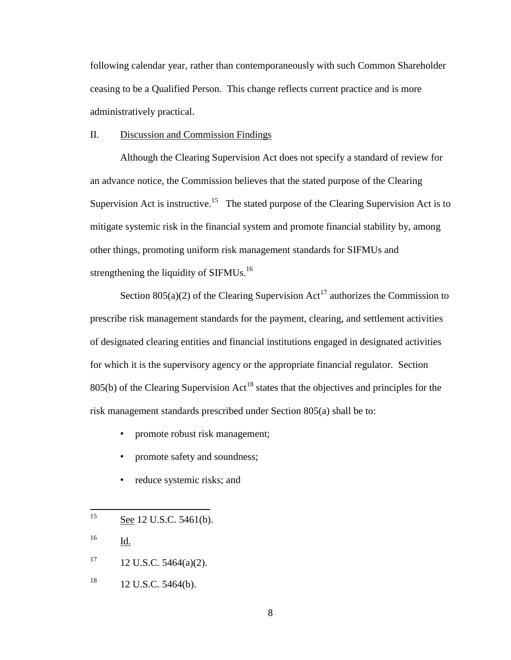following calendar year, rather than contemporaneously with such Common Shareholder ceasing to be a Qualified Person. This change reflects current practice and is more administratively practical.

#### II. Discussion and Commission Findings

Although the Clearing Supervision Act does not specify a standard of review for an advance notice, the Commission believes that the stated purpose of the Clearing Supervision Act is instructive.<sup>15</sup> The stated purpose of the Clearing Supervision Act is to mitigate systemic risk in the financial system and promote financial stability by, among other things, promoting uniform risk management standards for SIFMUs and strengthening the liquidity of SIFMUs.<sup>16</sup>

Section  $805(a)(2)$  of the Clearing Supervision Act<sup>17</sup> authorizes the Commission to prescribe risk management standards for the payment, clearing, and settlement activities of designated clearing entities and financial institutions engaged in designated activities for which it is the supervisory agency or the appropriate financial regulator. Section  $805(b)$  of the Clearing Supervision Act<sup>18</sup> states that the objectives and principles for the risk management standards prescribed under Section 805(a) shall be to:

- promote robust risk management;
- promote safety and soundness;
- reduce systemic risks; and

<sup>16</sup> Id.

- $17 \t12$  U.S.C. 5464(a)(2).
- $18$  12 U.S.C. 5464(b).

<sup>15</sup> See 12 U.S.C. 5461(b).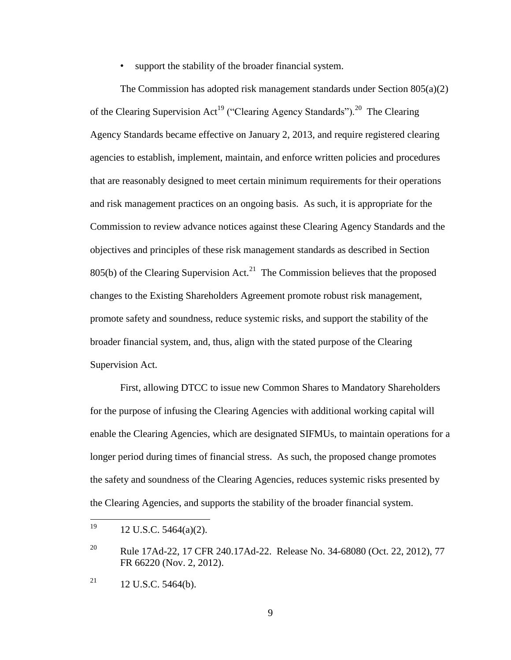support the stability of the broader financial system.

The Commission has adopted risk management standards under Section 805(a)(2) of the Clearing Supervision Act<sup>19</sup> ("Clearing Agency Standards").<sup>20</sup> The Clearing Agency Standards became effective on January 2, 2013, and require registered clearing agencies to establish, implement, maintain, and enforce written policies and procedures that are reasonably designed to meet certain minimum requirements for their operations and risk management practices on an ongoing basis. As such, it is appropriate for the Commission to review advance notices against these Clearing Agency Standards and the objectives and principles of these risk management standards as described in Section  $805(b)$  of the Clearing Supervision Act.<sup>21</sup> The Commission believes that the proposed changes to the Existing Shareholders Agreement promote robust risk management, promote safety and soundness, reduce systemic risks, and support the stability of the broader financial system, and, thus, align with the stated purpose of the Clearing Supervision Act.

First, allowing DTCC to issue new Common Shares to Mandatory Shareholders for the purpose of infusing the Clearing Agencies with additional working capital will enable the Clearing Agencies, which are designated SIFMUs, to maintain operations for a longer period during times of financial stress. As such, the proposed change promotes the safety and soundness of the Clearing Agencies, reduces systemic risks presented by the Clearing Agencies, and supports the stability of the broader financial system.

<sup>19</sup> <sup>19</sup> 12 U.S.C. 5464(a)(2).

<sup>&</sup>lt;sup>20</sup> Rule 17Ad-22, 17 CFR 240.17Ad-22. Release No. 34-68080 (Oct. 22, 2012), 77 FR 66220 (Nov. 2, 2012).

 $^{21}$  12 U.S.C. 5464(b).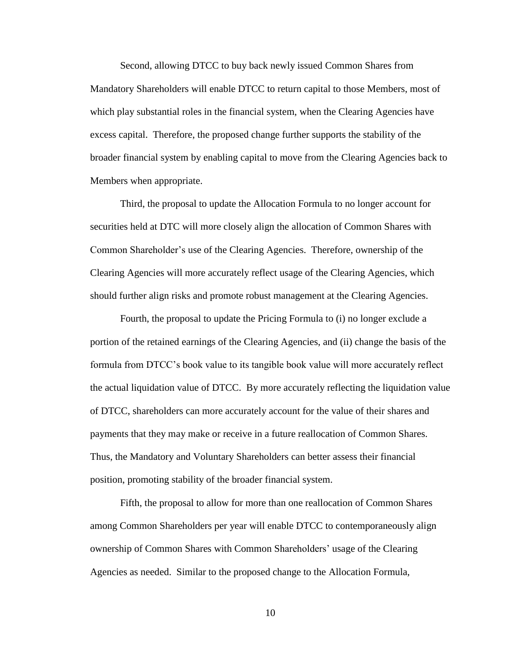Second, allowing DTCC to buy back newly issued Common Shares from Mandatory Shareholders will enable DTCC to return capital to those Members, most of which play substantial roles in the financial system, when the Clearing Agencies have excess capital. Therefore, the proposed change further supports the stability of the broader financial system by enabling capital to move from the Clearing Agencies back to Members when appropriate.

Third, the proposal to update the Allocation Formula to no longer account for securities held at DTC will more closely align the allocation of Common Shares with Common Shareholder's use of the Clearing Agencies. Therefore, ownership of the Clearing Agencies will more accurately reflect usage of the Clearing Agencies, which should further align risks and promote robust management at the Clearing Agencies.

Fourth, the proposal to update the Pricing Formula to (i) no longer exclude a portion of the retained earnings of the Clearing Agencies, and (ii) change the basis of the formula from DTCC's book value to its tangible book value will more accurately reflect the actual liquidation value of DTCC. By more accurately reflecting the liquidation value of DTCC, shareholders can more accurately account for the value of their shares and payments that they may make or receive in a future reallocation of Common Shares. Thus, the Mandatory and Voluntary Shareholders can better assess their financial position, promoting stability of the broader financial system.

Fifth, the proposal to allow for more than one reallocation of Common Shares among Common Shareholders per year will enable DTCC to contemporaneously align ownership of Common Shares with Common Shareholders' usage of the Clearing Agencies as needed. Similar to the proposed change to the Allocation Formula,

10